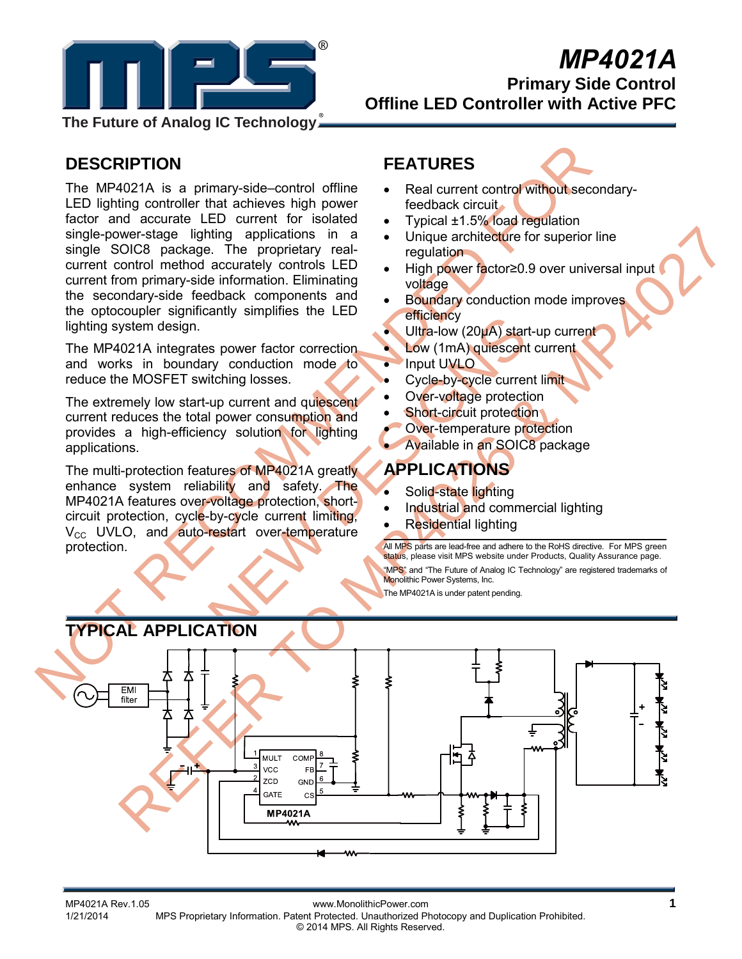

# *MP4021A*

**Primary Side Control Offline LED Controller with Active PFC** 

**The Future of Analog IC Technology**

### **DESCRIPTION**

**DESCRIPTION**<br>
The MP4021A is a primary-side-control offline CRIPTICKE<br>
LED lighting control of this chief active the active single policies of reduction and accurate LED current for isolated to reputate the state of supe The MP4021A is a primary-side–control offline LED lighting controller that achieves high power factor and accurate LED current for isolated single-power-stage lighting applications in a single SOIC8 package. The proprietary realcurrent control method accurately controls LED current from primary-side information. Eliminating the secondary-side feedback components and the optocoupler significantly simplifies the LED lighting system design.

The MP4021A integrates power factor correction and works in boundary conduction mode to reduce the MOSFET switching losses.

The extremely low start-up current and quiescent current reduces the total power consumption and provides a high-efficiency solution for lighting applications.

Solve factor correction<br>
Solve the MP4021A greatly<br>
The MP4021A greatly<br>
The MP4021A speaking and the MP4021A speaking and the MP4021A speaking<br>
The MP4021A speaking and commention<br>
The MP4021A speaking and commention<br>
The The multi-protection features of MP4021A greatly enhance system reliability and safety. The MP4021A features over-voltage protection, shortcircuit protection, cycle-by-cycle current limiting,  $V_{\text{CC}}$  UVLO, and auto-restart over-temperature protection.

## **FEATURES**

- Real current control without secondaryfeedback circuit
- Typical ±1.5% load regulation
- Unique architecture for superior line regulation
- High power factor≥0.9 over universal input voltage
- **Boundary conduction mode improves** efficiency
- Ultra-low (20µA) start-up current
- Low (1mA) quiescent current
- Input UVLO
- Cycle-by-cycle current limit
- Over-voltage protection
- **Short-circuit protection**
- Over-temperature protection
- Available in an SOIC8 package

### **APPLICATIONS**

- Solid-state lighting
- Industrial and commercial lighting
- Residential lighting

All MPS parts are lead-free and adhere to the RoHS directive. For MPS green status, please visit MPS website under Products, Quality Assurance page. "MPS" and "The Future of Analog IC Technology" are registered trademarks of Monolithic Power Systems, Inc. The MP4021A is under patent pending.

We want also application in a curriculum of the state internet and the state of the state of the state of the state of the state of the state of the state of the state of the state of the state of the state of the state of

# **TYPICAL APPLICATION**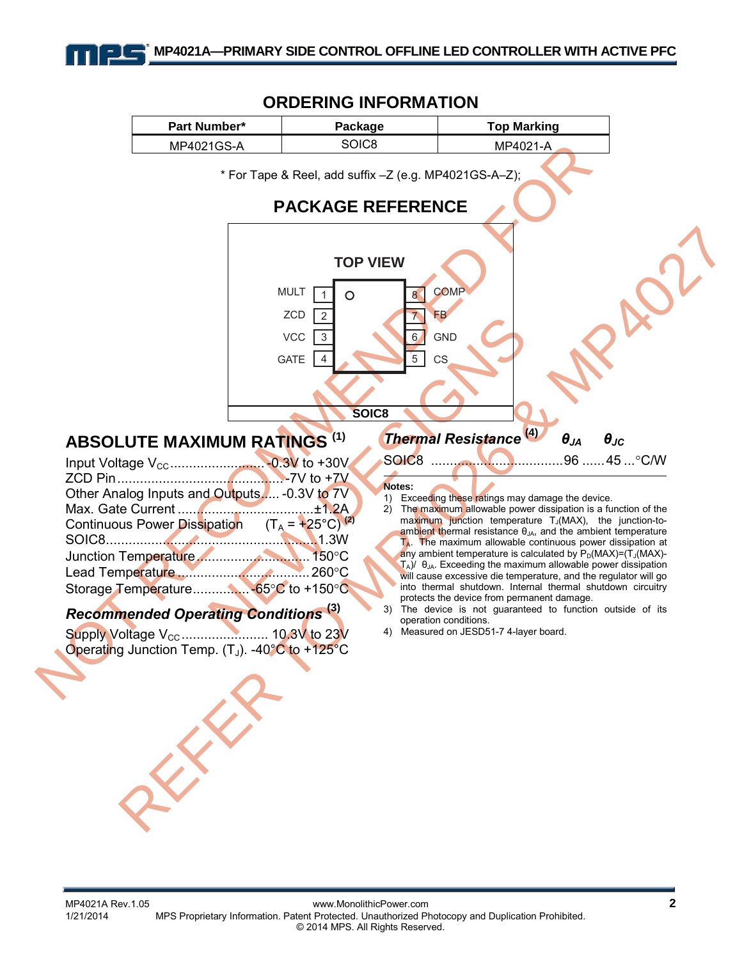

### **ORDERING INFORMATION**

MP4021A Rev.1.05 www.MonolithicPower.com **2** MPS Proprietary Information. Patent Protected. Unauthorized Photocopy and Duplication Prohibited. © 2014 MPS. All Rights Reserved.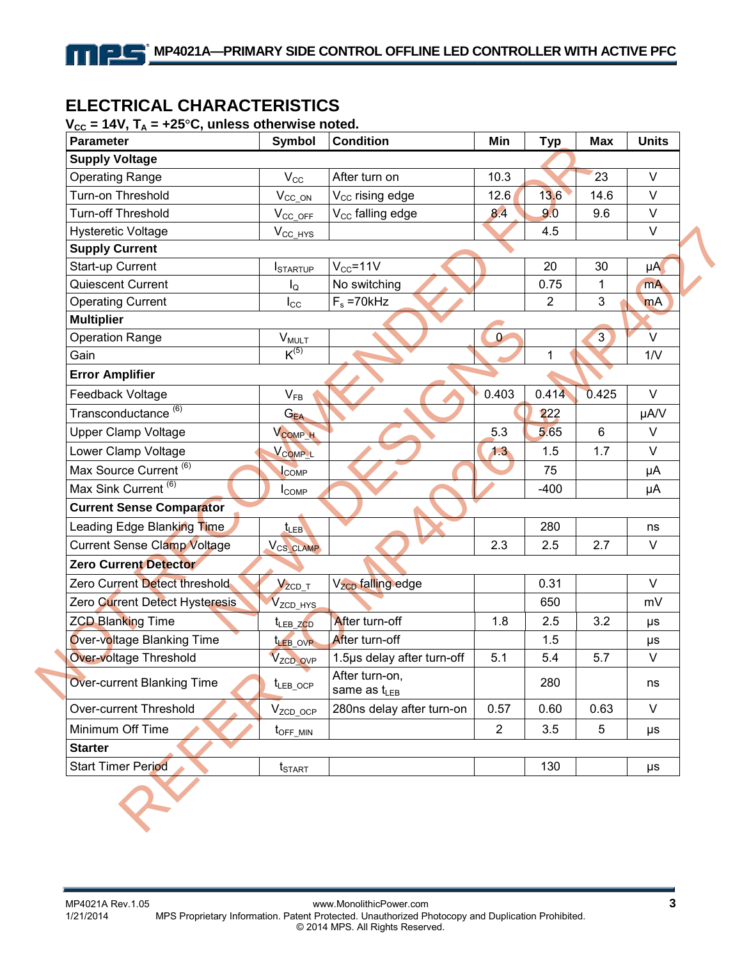### **ELECTRICAL CHARACTERISTICS**

11 L

#### $V_{CC}$  = 14V,  $T_A$  = +25°C, unless otherwise noted.

| <b>Parameter</b>                   | Symbol                | <b>Condition</b>                    | Min            | <b>Typ</b>     | <b>Max</b>     | <b>Units</b> |
|------------------------------------|-----------------------|-------------------------------------|----------------|----------------|----------------|--------------|
| <b>Supply Voltage</b>              |                       |                                     |                |                |                |              |
| <b>Operating Range</b>             | $V_{\rm CC}$          | After turn on                       | 10.3           |                | 23             | $\vee$       |
| Turn-on Threshold                  | $V_{CC\_ON}$          | V <sub>CC</sub> rising edge         | 12.6           | 13.6           | 14.6           | $\vee$       |
| Turn-off Threshold                 | $V_{CC\_OFF}$         | V <sub>CC</sub> falling edge        | 8.4            | 9.0            | 9.6            | $\vee$       |
| <b>Hysteretic Voltage</b>          | $V_{CC\_HYS}$         |                                     |                | 4.5            |                | $\vee$       |
| <b>Supply Current</b>              |                       |                                     |                |                |                |              |
| Start-up Current                   | <b>ISTARTUP</b>       | $V_{CC} = 11V$                      |                | 20             | 30             | $\mu A$      |
| Quiescent Current                  | $I_{\mathsf{Q}}$      | No switching                        |                | 0.75           | 1              | mA           |
| <b>Operating Current</b>           | $I_{\rm CC}$          | $F_s = 70k$ Hz                      |                | $\overline{2}$ | 3              | mA           |
| <b>Multiplier</b>                  |                       |                                     |                |                |                |              |
| <b>Operation Range</b>             | $V_{MULT}$            |                                     | $\bf{0}$       |                | $\overline{3}$ | V            |
| Gain                               | $K^{(5)}$             |                                     |                | 1              |                | 1/V          |
| <b>Error Amplifier</b>             |                       |                                     |                |                |                |              |
| Feedback Voltage                   | $V_{FB}$              |                                     | 0.403          | 0.414          | 0.425          | $\vee$       |
| Transconductance <sup>(6)</sup>    | $G_{EA}$              |                                     |                | 222            |                | µA/V         |
| <b>Upper Clamp Voltage</b>         | V <sub>COMP_H</sub>   |                                     | 5.3            | 5.65           | $6\phantom{1}$ | $\vee$       |
| Lower Clamp Voltage                | V <sub>COMP_L</sub>   |                                     | 1.3            | 1.5            | 1.7            | V            |
| Max Source Current <sup>(6)</sup>  | <b>COMP</b>           |                                     |                | 75             |                | μA           |
| Max Sink Current <sup>(6)</sup>    | $I_{\text{COMP}}$     |                                     |                | $-400$         |                | μA           |
| <b>Current Sense Comparator</b>    |                       |                                     |                |                |                |              |
| Leading Edge Blanking Time         | $t_{LEB}$             |                                     |                | 280            |                | ns           |
| <b>Current Sense Clamp Voltage</b> | V <sub>CS_CLAMP</sub> |                                     | 2.3            | 2.5            | 2.7            | V            |
| <b>Zero Current Detector</b>       |                       |                                     |                |                |                |              |
| Zero Current Detect threshold      | $V_{ZCD\_T}$          | V <sub>zcp</sub> falling edge       |                | 0.31           |                | $\vee$       |
| Zero Current Detect Hysteresis     | V <sub>ZCD_HYS</sub>  |                                     |                | 650            |                | mV           |
| <b>ZCD Blanking Time</b>           | t <sub>LEB_ZCD</sub>  | After turn-off                      | 1.8            | 2.5            | 3.2            | $\mu s$      |
| Over-voltage Blanking Time         | <b>LEB OVP</b>        | After turn-off                      |                | 1.5            |                | $\mu s$      |
| <b>Over-voltage Threshold</b>      | V <sub>ZCD_OVP</sub>  | 1.5µs delay after turn-off          | 5.1            | 5.4            | 5.7            | $\vee$       |
| <b>Over-current Blanking Time</b>  | $t_{LEB\_OCP}$        | After turn-on,<br>same as $t_{LEB}$ |                | 280            |                | ns           |
| Over-current Threshold             | $V_{ZCD\_OCP}$        | 280ns delay after turn-on           | 0.57           | 0.60           | 0.63           | V            |
| Minimum Off Time                   | $t_{\text{OFF\_MIN}}$ |                                     | $\overline{2}$ | 3.5            | 5              | $\mu s$      |
|                                    |                       |                                     |                |                |                |              |
| <b>Starter</b>                     |                       |                                     |                |                |                |              |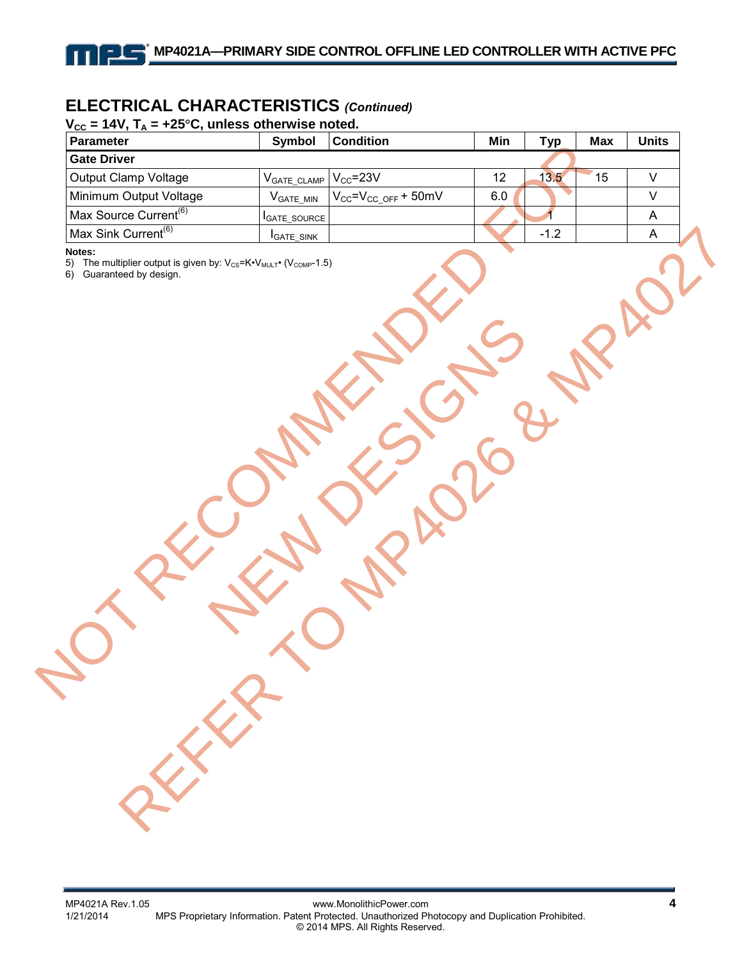## **ELECTRICAL CHARACTERISTICS** *(Continued)*

#### $V_{cc}$  = 14V,  $T_{A}$  = +25<sup>o</sup>C, unless otherwise noted.

11 I

| Parameter                                                                                                                                              | Symbol                   | <b>Condition</b>               | Min     | <b>Typ</b> | <b>Max</b> | <b>Units</b> |
|--------------------------------------------------------------------------------------------------------------------------------------------------------|--------------------------|--------------------------------|---------|------------|------------|--------------|
| <b>Gate Driver</b>                                                                                                                                     |                          |                                |         |            |            |              |
| Output Clamp Voltage                                                                                                                                   | $V_{\text{GATE\_CLAMP}}$ | $V_{CC}$ =23V                  | 12      | 13.5       | 15         | $\mathsf{V}$ |
| Minimum Output Voltage                                                                                                                                 | $V_{GATE\_MIN}$          | $V_{CC} = V_{CC\_OFF} + 50$ mV | $6.0\,$ |            |            | $\mathsf{V}$ |
| Max Source Current <sup>(6)</sup>                                                                                                                      | GATE_SOURCE              |                                |         |            |            | $\mathsf{A}$ |
| Max Sink Current <sup>(6)</sup>                                                                                                                        | <b>I</b> GATE_SINK       |                                |         | $-1.2$     |            | A            |
| The multiplier output is given by: V <sub>CS</sub> =K•V <sub>MULT</sub> • (V <sub>COMP</sub> -1.5)<br>5)<br>Guaranteed by design.<br>6)<br>P<br>REFERE |                          |                                |         |            |            |              |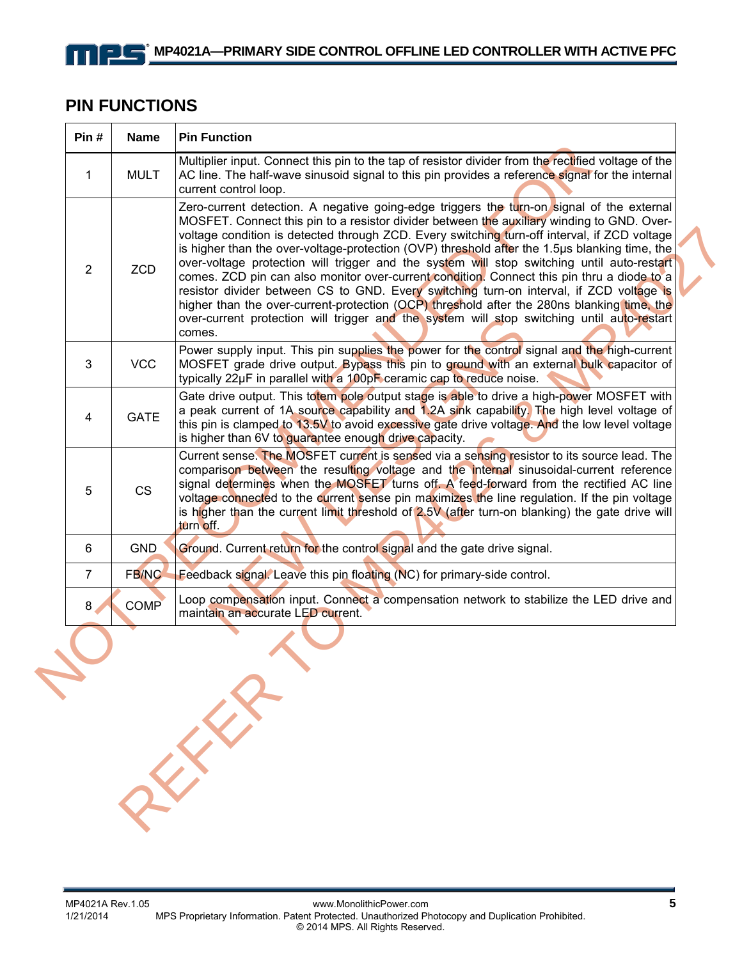### **PIN FUNCTIONS**

11 I

| Pin#           | <b>Name</b>  | <b>Pin Function</b>                                                                                                                                                                                                                                                                                                                                                                                                                                                                                                                                                                                                                                                                                                                                                                                                                                                                   |
|----------------|--------------|---------------------------------------------------------------------------------------------------------------------------------------------------------------------------------------------------------------------------------------------------------------------------------------------------------------------------------------------------------------------------------------------------------------------------------------------------------------------------------------------------------------------------------------------------------------------------------------------------------------------------------------------------------------------------------------------------------------------------------------------------------------------------------------------------------------------------------------------------------------------------------------|
| $\mathbf{1}$   | <b>MULT</b>  | Multiplier input. Connect this pin to the tap of resistor divider from the rectified voltage of the<br>AC line. The half-wave sinusoid signal to this pin provides a reference signal for the internal<br>current control loop.                                                                                                                                                                                                                                                                                                                                                                                                                                                                                                                                                                                                                                                       |
| $\overline{2}$ | <b>ZCD</b>   | Zero-current detection. A negative going-edge triggers the turn-on signal of the external<br>MOSFET. Connect this pin to a resistor divider between the auxiliary winding to GND. Over-<br>voltage condition is detected through ZCD. Every switching turn-off interval, if ZCD voltage<br>is higher than the over-voltage-protection (OVP) threshold after the 1.5µs blanking time, the<br>over-voltage protection will trigger and the system will stop switching until auto-restart<br>comes. ZCD pin can also monitor over-current condition. Connect this pin thru a diode to a<br>resistor divider between CS to GND. Every switching turn-on interval, if ZCD voltage is<br>higher than the over-current-protection (OCP) threshold after the 280ns blanking time, the<br>over-current protection will trigger and the system will stop switching until auto-restart<br>comes. |
| 3              | <b>VCC</b>   | Power supply input. This pin supplies the power for the control signal and the high-current<br>MOSFET grade drive output. Bypass this pin to ground with an external bulk capacitor of<br>typically 22µF in parallel with a 100pF ceramic cap to reduce noise.                                                                                                                                                                                                                                                                                                                                                                                                                                                                                                                                                                                                                        |
| 4              | <b>GATE</b>  | Gate drive output. This totem pole output stage is able to drive a high-power MOSFET with<br>a peak current of 1A source capability and 1.2A sink capability. The high level voltage of<br>this pin is clamped to 13.5V to avoid excessive gate drive voltage. And the low level voltage<br>is higher than 6V to guarantee enough drive capacity.                                                                                                                                                                                                                                                                                                                                                                                                                                                                                                                                     |
| 5              | CS           | Current sense. The MOSFET current is sensed via a sensing resistor to its source lead. The<br>comparison between the resulting voltage and the internal sinusoidal-current reference<br>signal determines when the MOSFET turns off. A feed-forward from the rectified AC line<br>voltage connected to the current sense pin maximizes the line regulation. If the pin voltage<br>is higher than the current limit threshold of 2.5V (after turn-on blanking) the gate drive will<br>turn off.                                                                                                                                                                                                                                                                                                                                                                                        |
| 6              | <b>GND</b>   | Ground. Current return for the control signal and the gate drive signal.                                                                                                                                                                                                                                                                                                                                                                                                                                                                                                                                                                                                                                                                                                                                                                                                              |
| $\overline{7}$ | <b>FB/NC</b> | Feedback signal. Leave this pin floating (NC) for primary-side control.                                                                                                                                                                                                                                                                                                                                                                                                                                                                                                                                                                                                                                                                                                                                                                                                               |
| 8 <sub>1</sub> | <b>COMP</b>  | Loop compensation input. Connect a compensation network to stabilize the LED drive and<br>maintain an accurate LED current.                                                                                                                                                                                                                                                                                                                                                                                                                                                                                                                                                                                                                                                                                                                                                           |
| T              |              | $x^{2}$                                                                                                                                                                                                                                                                                                                                                                                                                                                                                                                                                                                                                                                                                                                                                                                                                                                                               |
|                |              |                                                                                                                                                                                                                                                                                                                                                                                                                                                                                                                                                                                                                                                                                                                                                                                                                                                                                       |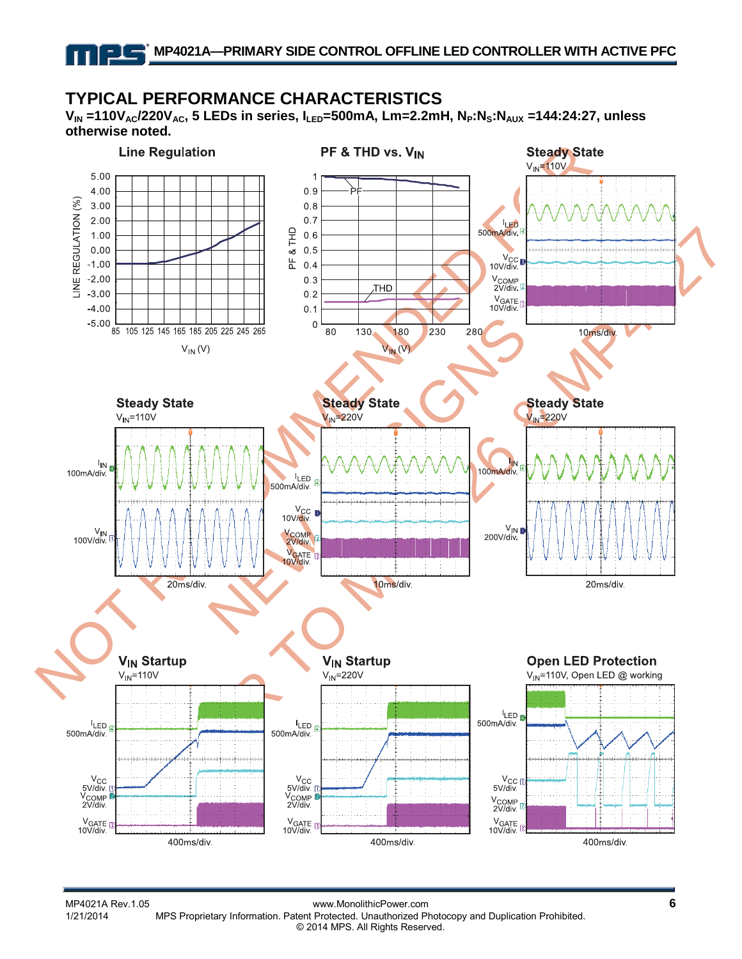### **TYPICAL PERFORMANCE CHARACTERISTICS**

V<sub>IN</sub> =110V<sub>AC</sub>/220V<sub>AC</sub>, 5 LEDs in series, I<sub>LED</sub>=500mA, Lm=2.2mH, N<sub>P</sub>:N<sub>S</sub>:N<sub>AUX</sub> =144:24:27, unless **otherwise noted.** 

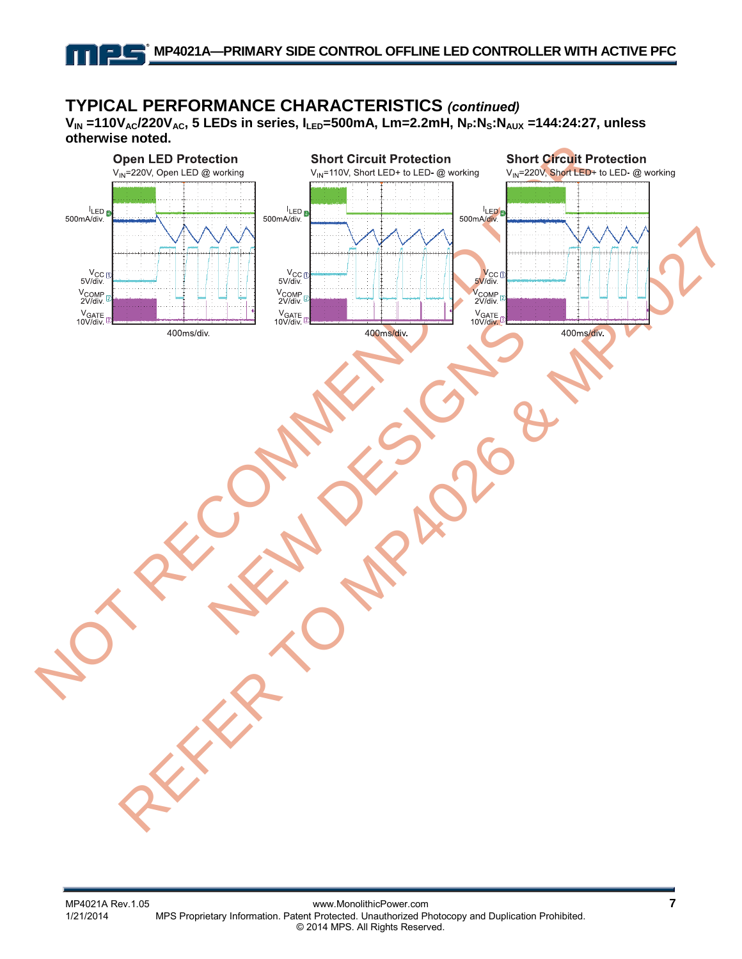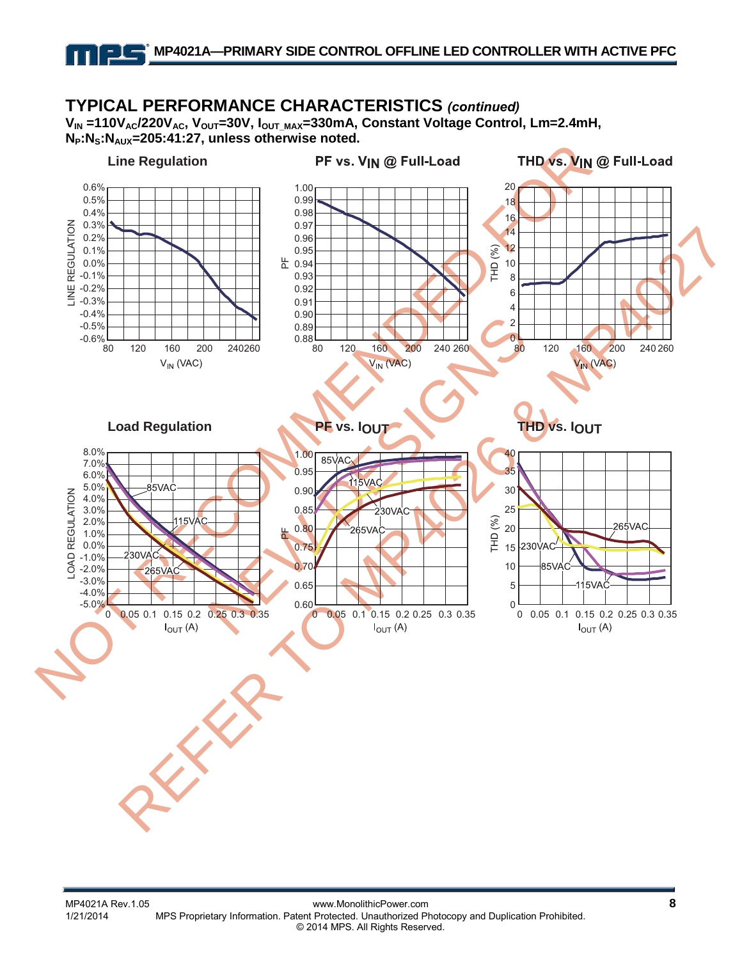11 L

#### NOT RECOMMENDED FOR  $0.240260$ <br>  $0.88$ <br>  $0.88$ <br>  $0.85$ <br>  $0.99$ <br>  $0.85$ <br>  $0.99$ <br>  $0.85$ <br>  $0.80$ <br>  $0.85$ <br>  $0.80$ <br>  $0.85$ <br>  $0.80$ <br>  $0.85$ <br>  $0.80$ <br>  $0.85$ <br>  $0.80$ <br>  $0.85$ <br>  $0.80$ <br>  $0.85$ <br>  $0.80$ <br>  $0.85$ <br>  $0.80$ <br>  $0.85$ <br>  $0.80$ <br>  $0.85$ <br>  $0.80$ <br> REFER TO MP4026 & MP4027 **TYPICAL PERFORMANCE CHARACTERISTICS** *(continued)*<br>  $V_{IN}$  =110V<sub>AC</sub>/220V<sub>AC</sub>, V<sub>OUT</sub>=30V, I<sub>OUT\_MAX</sub>=330mA, Constant Voltage Control, Lm=2.4mH,  $N_P:N_S:N_{AUX}=205:41:27$ , unless otherwise noted.  $\begin{array}{l} 20.3\% \\ 0.2\% \\ -0.1\% \\ -0.0\% \\ \hline 0.0\% \\ -0.2\% \\ -0.3\% \end{array}$ 20076 10%<br>
20076 10%<br>
20076 10%<br>
20076 230VAC<br>
20076 230VAC<br>
20076 2265VAC **Line Regulation Load Regulation PF vs. IOUT THD vs. IOUT**  $-0.6\%$ -0.5% -0.4% -0.3% -0.2% -0.1% 0.0% 0.1% 0.2% 0.3% 0.4% 0.5% 0.6% 80 120 160 200 240260  $\frac{1}{80}$ 0.89 0.90 0.91 0.92 0.93 눈 0.94 0.95 0.96 0.97 0.98 0.99 1.00 80 120 160 200 240 260  $0<sub>80</sub>$ 2 4 6 8 10 12 14 16 18 20 80 120 160 200 240 260  $-5.0\%$ -4.0% -3.0% -2.0% -1.0% 0.0% 1.0% 2.0% 3.0% 4.0% 5.0% 6.0% 7.0% 8.0% 0 0.05 0.1 0.15 0.2 0.25 0.3 0.35 0.60 0.65 0.70 0.75 0.80 0.85 n ar 0.95 1.00 0 0.05 0.1 0.15 0.2 0.25 0.3 0.35  $0$   $0.05$  0.1 5 10 15 20 25 30 35 40 0 0.05 0.1 0.15 0.2 0.25 0.3 0.35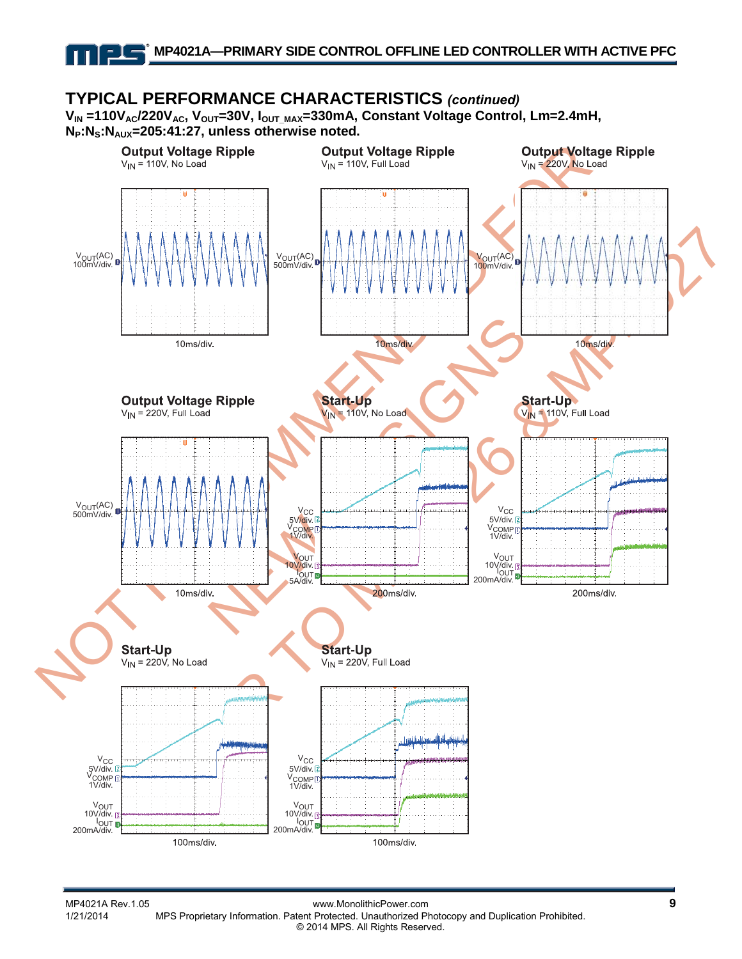**TYPICAL PERFORMANCE CHARACTERISTICS** *(continued)* **VIN =110VAC/220VAC, VOUT=30V, IOUT\_MAX=330mA, Constant Voltage Control, Lm=2.4mH, NP:NS:NAUX=205:41:27, unless otherwise noted.**

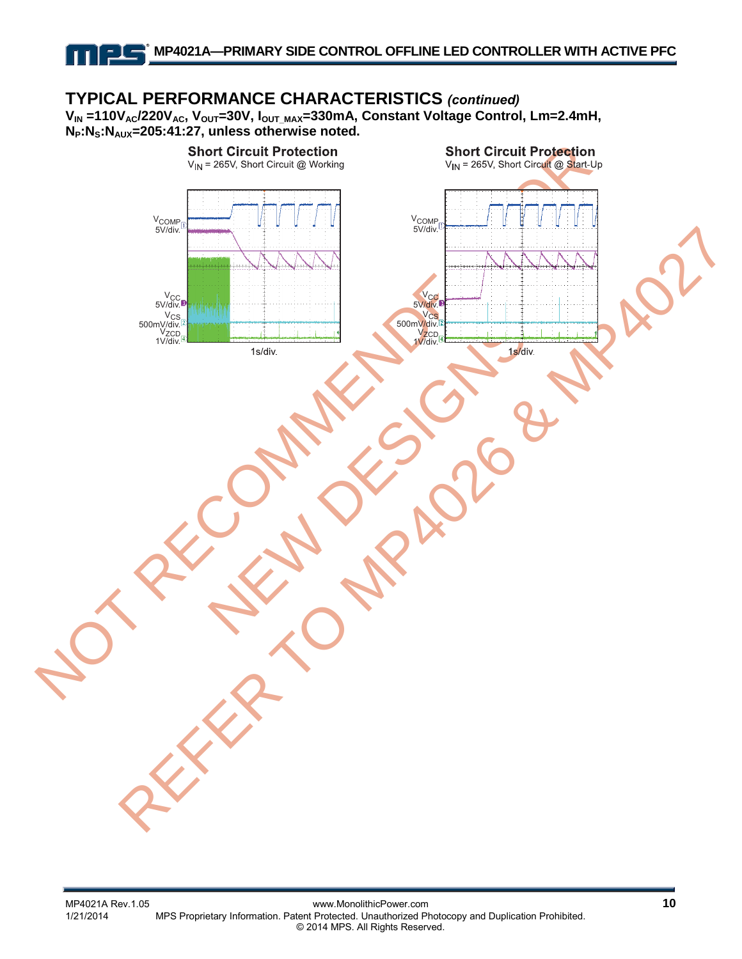**TYPICAL PERFORMANCE CHARACTERISTICS** *(continued)* **VIN =110VAC/220VAC, VOUT=30V, IOUT\_MAX=330mA, Constant Voltage Control, Lm=2.4mH, NP:NS:NAUX=205:41:27, unless otherwise noted.**

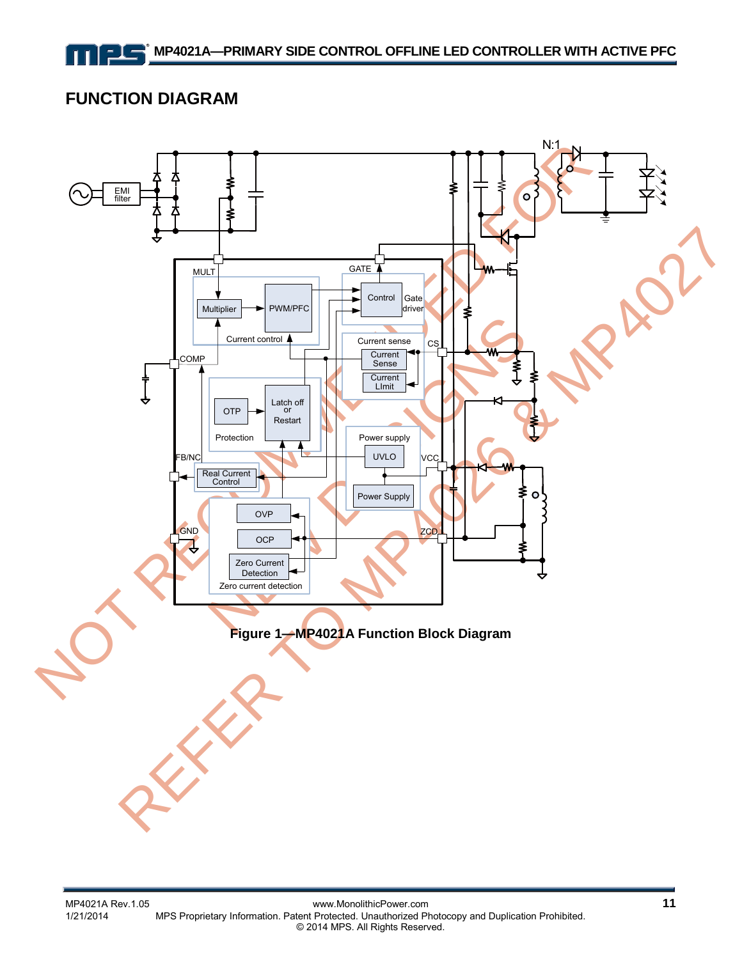### **FUNCTION DIAGRAM**

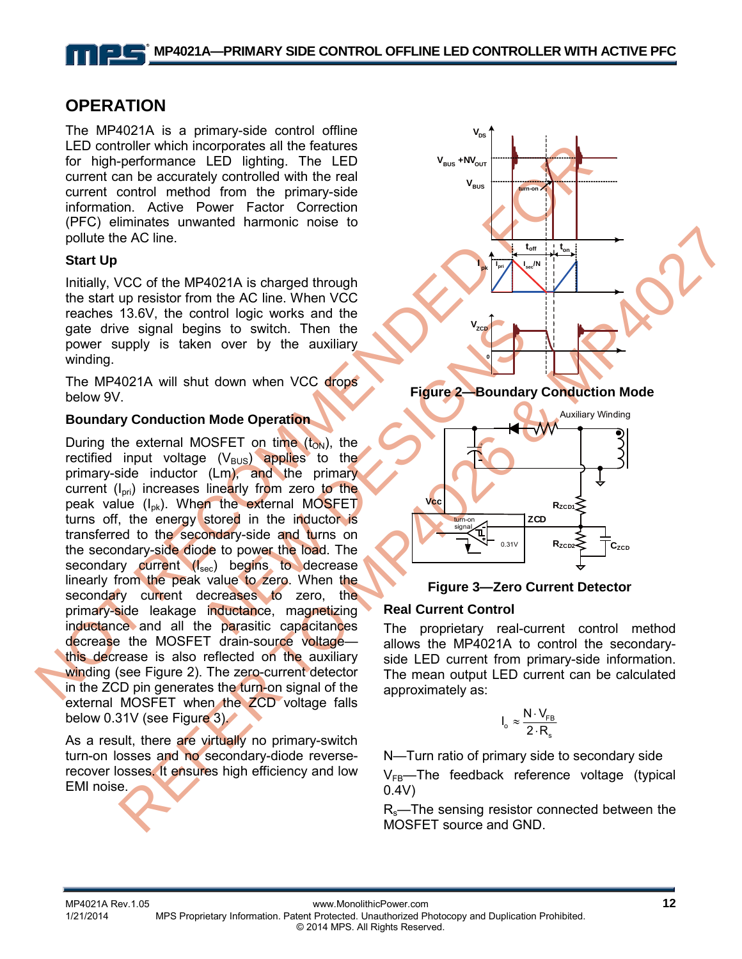### **OPERATION**

The MP4021A is a primary-side control offline LED controller which incorporates all the features for high-performance LED lighting. The LED current can be accurately controlled with the real current control method from the primary-side information. Active Power Factor Correction (PFC) eliminates unwanted harmonic noise to pollute the AC line.

#### **Start Up**

Initially, VCC of the MP4021A is charged through the start up resistor from the AC line. When VCC reaches 13.6V, the control logic works and the gate drive signal begins to switch. Then the power supply is taken over by the auxiliary winding.

The MP4021A will shut down when VCC drops below 9V.

#### **Boundary Conduction Mode Operation**

LED controller which incorporates all the features<br>
for high-performance LED lighting. The LED<br>
current control method from the primary-side<br>
current control method from the primary-side<br>
information. Active Power Factor Node Operation<br>
Node Operation<br>
Node Operation<br>
SFET on time (t<sub>ow)</sub>, the<br>
(V<sub>BUS</sub>) applies to the<br>
(Lm), and the primary<br>
linearly from zero to the<br>
interaction of the external MOSFET<br>
stored in the inductor is<br>
such oper Another of the MC line. When the Clienties and the Unit of the MC of the MC of the MC of the MC of the Clienties and the Unit of the auxiliary of the signal begins to switch. Then the Clienties of the auxiliary of the sta During the external MOSFET on time  $(t_{ON})$ , the rectified input voltage  $(V_{\text{BUS}})$  applies to the primary-side inductor (Lm), and the primary current  $(I_{\text{pri}})$  increases linearly from zero to the peak value  $(I_{nk})$ . When the external MOSFET turns off, the energy stored in the inductor is transferred to the secondary-side and turns on the secondary-side diode to power the load. The secondary current (I<sub>sec</sub>) begins to decrease linearly from the peak value to zero. When the secondary current decreases to zero, the primary-side leakage inductance, magnetizing inductance and all the parasitic capacitances decrease the MOSFET drain-source voltage this decrease is also reflected on the auxiliary winding (see Figure 2). The zero-current detector in the ZCD pin generates the turn-on signal of the external MOSFET when the ZCD voltage falls below 0.31V (see Figure 3).

As a result, there are virtually no primary-switch turn-on losses and no secondary-diode reverserecover losses. It ensures high efficiency and low EMI noise.



**Figure 2—Boundary Conduction Mode** 



**Figure 3—Zero Current Detector** 

#### **Real Current Control**

The proprietary real-current control method allows the MP4021A to control the secondaryside LED current from primary-side information. The mean output LED current can be calculated approximately as:

$$
I_o \approx \frac{N \cdot V_{FB}}{2 \cdot R_s}
$$

N—Turn ratio of primary side to secondary side

 $V_{FB}$ —The feedback reference voltage (typical 0.4V)

Rs—The sensing resistor connected between the MOSFET source and GND.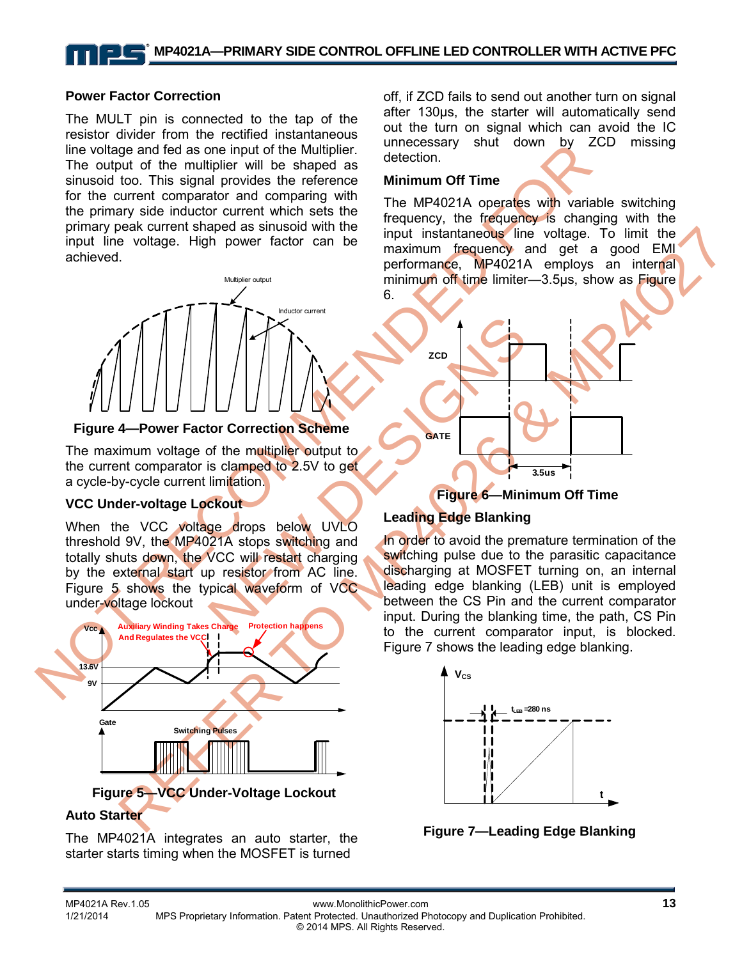#### **Power Factor Correction**

The MULT pin is connected to the tap of the resistor divider from the rectified instantaneous line voltage and fed as one input of the Multiplier. The output of the multiplier will be shaped as sinusoid too. This signal provides the reference for the current comparator and comparing with the primary side inductor current which sets the primary peak current shaped as sinusoid with the input line voltage. High power factor can be achieved.



#### **Figure 4—Power Factor Correction Scheme**

The maximum voltage of the multiplier output to the current comparator is clamped to 2.5V to get a cycle-by-cycle current limitation.

#### **VCC Under-voltage Lockout**

When the VCC voltage drops below UVLO threshold 9V, the MP4021A stops switching and totally shuts down, the VCC will restart charging by the external start up resistor from AC line. Figure 5 shows the typical waveform of VCC under-voltage lockout



**Figure 5—VCC Under-Voltage Lockout** 

### **Auto Starter**

The MP4021A integrates an auto starter, the starter starts timing when the MOSFET is turned

off, if ZCD fails to send out another turn on signal after 130µs, the starter will automatically send out the turn on signal which can avoid the IC unnecessary shut down by ZCD missing detection.

#### **Minimum Off Time**

The MP4021A operates with variable switching frequency, the frequency is changing with the input instantaneous line voltage. To limit the maximum frequency and get a good EMI performance, MP4021A employs an internal minimum off time limiter—3.5us, show as Figure 6.



#### **Figure 6—Minimum Off Time**

#### **Leading Edge Blanking**

In order to avoid the premature termination of the switching pulse due to the parasitic capacitance discharging at MOSFET turning on, an internal leading edge blanking (LEB) unit is employed between the CS Pin and the current comparator input. During the blanking time, the path, CS Pin to the current comparator input, is blocked. Figure 7 shows the leading edge blanking.



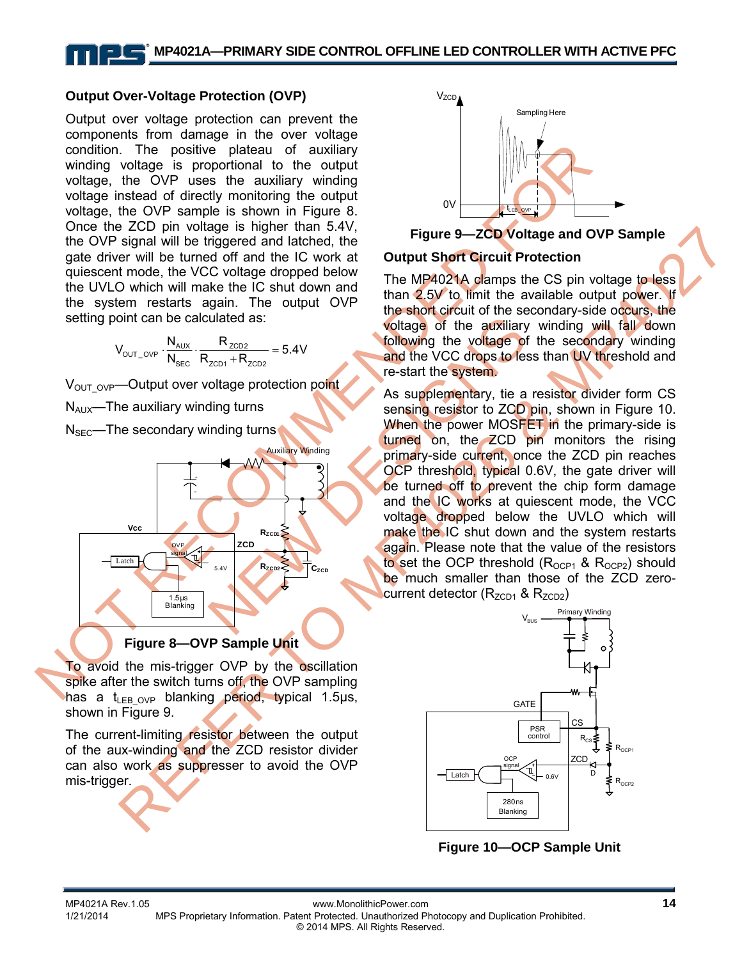#### **Output Over-Voltage Protection (OVP)**

conting the overall of the positive plateau of auxiliary which are the overall of the state the state of the condition of the state of the condition of the state of the condition of the state of the condition of the state Output over voltage protection can prevent the components from damage in the over voltage condition. The positive plateau of auxiliary winding voltage is proportional to the output voltage, the OVP uses the auxiliary winding voltage instead of directly monitoring the output voltage, the OVP sample is shown in Figure 8. Once the ZCD pin voltage is higher than 5.4V, the OVP signal will be triggered and latched, the gate driver will be turned off and the IC work at quiescent mode, the VCC voltage dropped below the UVLO which will make the IC shut down and the system restarts again. The output OVP setting point can be calculated as:

$$
V_{\text{OUT\_OVP}}\cdot \frac{N_{\text{AUX}}}{N_{\text{SEC}}} \cdot \frac{R_{\text{ZCD2}}}{R_{\text{ZCD1}}+R_{\text{ZCD2}}}=5.4V
$$

 $V_{\text{OUT OVP}}$ —Output over voltage protection point  $N_{AUX}$ —The auxiliary winding turns  $N<sub>SEC</sub>—The secondary winding turns$ 



**Figure 8—OVP Sample Unit** 

To avoid the mis-trigger OVP by the oscillation spike after the switch turns off, the OVP sampling has a t<sub>LEB OVP</sub> blanking period, typical 1.5µs, shown in Figure 9.

The current-limiting resistor between the output of the aux-winding and the ZCD resistor divider can also work as suppresser to avoid the OVP mis-trigger.



**Figure 9—ZCD Voltage and OVP Sample** 

#### **Output Short Circuit Protection**

The MP4021A clamps the CS pin voltage to less than 2.5V to limit the available output power. If the short circuit of the secondary-side occurs, the voltage of the auxiliary winding will fall down following the voltage of the secondary winding and the VCC drops to less than UV threshold and re-start the system.

Example the distribution of the auxiliary<br>  $R_{2CD1} + R_{2CD2} = 5.4V$ <br>
Following the voltage of the auxiliary<br>
oltage protection point<br>
As supplementary, tie a<br>
sensing resistor to ZCD<br>
When the power MOSFI<br>
turned on, the ZCD Examely the term of the top with the the start of the term of the term of the term of the start of the term of the start of the start of the start of the start of the start of the start of the start of the start of the st As supplementary, tie a resistor divider form CS sensing resistor to ZCD pin, shown in Figure 10. When the power MOSFET in the primary-side is turned on, the ZCD pin monitors the rising primary-side current, once the ZCD pin reaches OCP threshold, typical 0.6V, the gate driver will be turned off to prevent the chip form damage and the IC works at quiescent mode, the VCC voltage dropped below the UVLO which will make the IC shut down and the system restarts again. Please note that the value of the resistors to set the OCP threshold  $(R_{OCP1}$  &  $R_{OCP2})$  should be much smaller than those of the ZCD zerocurrent detector  $(R_{ZCD1}$  &  $R_{ZCD2})$ 



**Figure 10—OCP Sample Unit**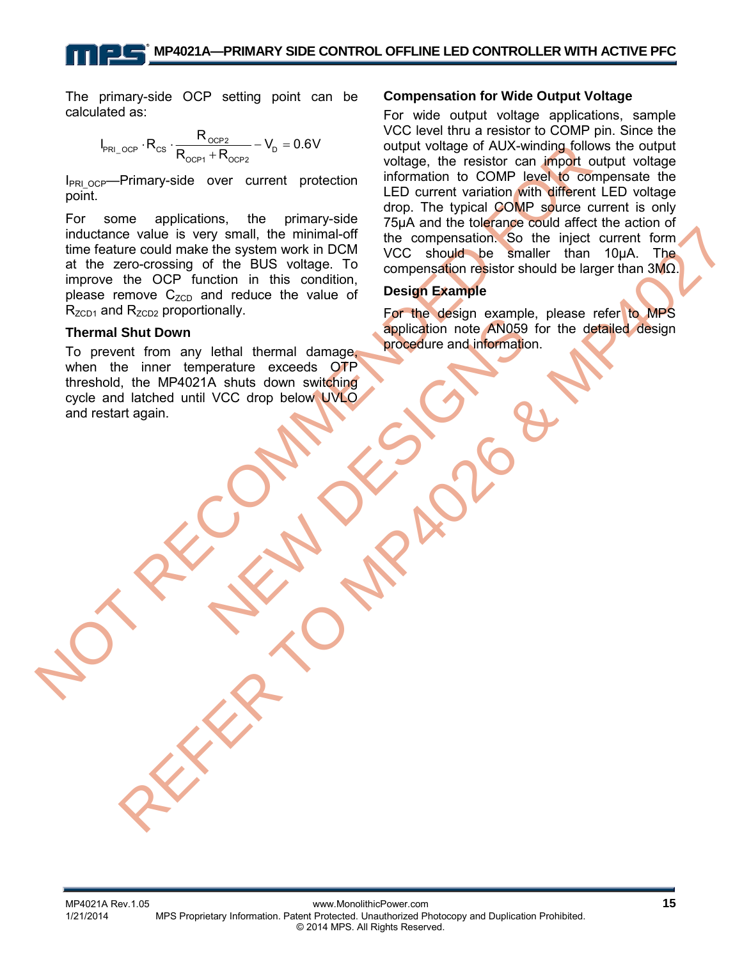The primary-side OCP setting point can be calculated as:

$$
I_{\text{PRI\_OCP}} \cdot R_{\text{CS}} \cdot \frac{R_{\text{OCP2}}}{R_{\text{OCP1}} + R_{\text{OCP2}}} - V_{\text{D}} = 0.6V
$$

I<sub>PRI\_OCP</sub>—Primary-side over current protection point.

 $V_{\text{NL, QCD}}$  H<sub>CO</sub>-Primary-side over current protection winding following following following following following following the resistor can import for come applications, the primary-side over current protection in this c er value is very small, the minimal of the compensation (So the light current form to the compensation of the compensation of the compensation of the compensation of the compensation of the compensation in this condition, For some applications, the primary-side inductance value is very small, the minimal-off time feature could make the system work in DCM at the zero-crossing of the BUS voltage. To improve the OCP function in this condition, please remove  $C_{ZCD}$  and reduce the value of  $R_{ZCD1}$  and  $R_{ZCD2}$  proportionally.

#### **Thermal Shut Down**

Tethal thermal damage, procedure and information<br>perature exceeds OTP<br>VCC drop below UVIO To prevent from any lethal thermal damage, when the inner temperature exceeds OTP threshold, the MP4021A shuts down switching cycle and latched until VCC drop below UVLO and restart again.

#### **Compensation for Wide Output Voltage**

For wide output voltage applications, sample VCC level thru a resistor to COMP pin. Since the output voltage of AUX-winding follows the output voltage, the resistor can import output voltage information to COMP level to compensate the LED current variation with different LED voltage drop. The typical COMP source current is only 75µA and the tolerance could affect the action of the compensation. So the inject current form VCC should be smaller than 10µA. The compensation resistor should be larger than 3MΩ.

#### **Design Example**

For the design example, please refer to MPS application note AN059 for the detailed design procedure and information.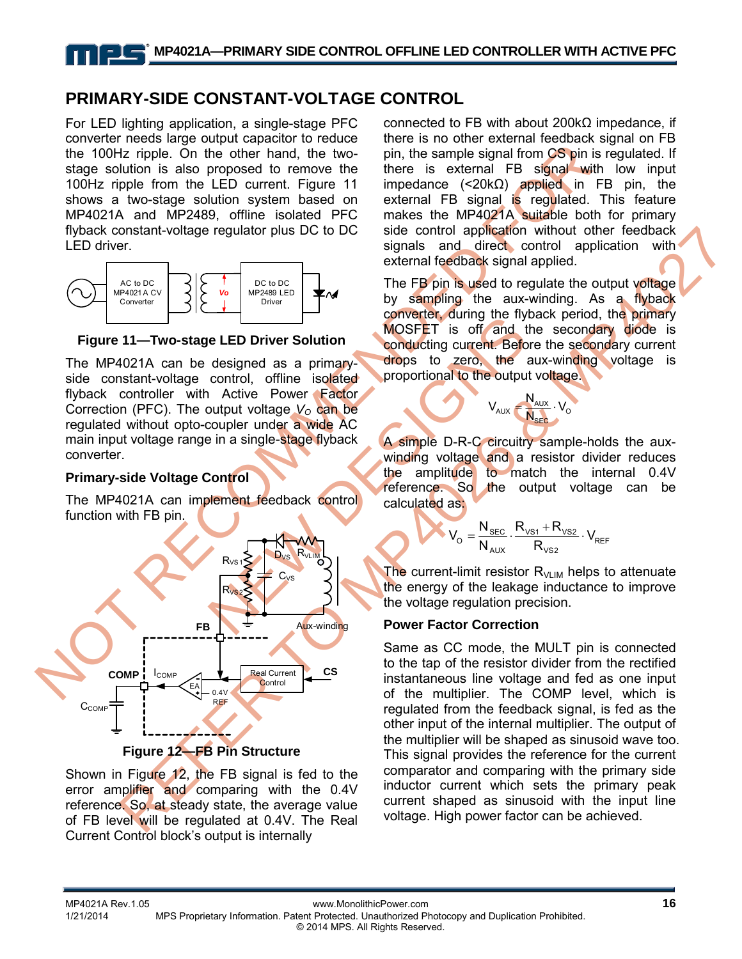### **PRIMARY-SIDE CONSTANT-VOLTAGE CONTROL**

For LED lighting application, a single-stage PFC converter needs large output capacitor to reduce the 100Hz ripple. On the other hand, the twostage solution is also proposed to remove the 100Hz ripple from the LED current. Figure 11 shows a two-stage solution system based on MP4021A and MP2489, offline isolated PFC flyback constant-voltage regulator plus DC to DC LED driver.



**Figure 11—Two-stage LED Driver Solution**

The MP4021A can be designed as a primaryside constant-voltage control, offline isolated flyback controller with Active Power Factor Correction (PFC). The output voltage  $V_0$  can be regulated without opto-coupler under a wide AC main input voltage range in a single-stage flyback converter.

#### **Primary-side Voltage Control**

The MP4021A can implement feedback control function with FB pin.



Shown in Figure 12, the FB signal is fed to the error amplifier and comparing with the 0.4V reference. So, at steady state, the average value of FB level will be regulated at 0.4V. The Real Current Control block's output is internally

connected to FB with about 200kΩ impedance, if there is no other external feedback signal on FB pin, the sample signal from CS pin is regulated. If there is external FB signal with low input impedance (<20kΩ) applied in FB pin, the external FB signal is regulated. This feature makes the MP4021A suitable both for primary side control application without other feedback signals and direct control application with external feedback signal applied.

The FB pin is used to regulate the output voltage by sampling the aux-winding. As a flyback converter, during the flyback period, the primary MOSFET is off and the secondary diode is conducting current. Before the secondary current drops to zero, the aux-winding voltage is proportional to the output voltage.

$$
V_{\text{AUX}} = \frac{N_{\text{AUX}}}{N_{\text{SEC}}} \cdot V_{\text{O}}
$$

A simple D-R-C circuitry sample-holds the auxwinding voltage and a resistor divider reduces the amplitude to match the internal 0.4V reference. So the output voltage can be calculated as:

$$
V_o = \frac{N_{SEC}}{N_{AUX}} \cdot \frac{R_{VS1} + R_{VS2}}{R_{VS2}} \cdot V_{REF}
$$

The current-limit resistor  $R_{VLM}$  helps to attenuate the energy of the leakage inductance to improve the voltage regulation precision.

#### **Power Factor Correction**

Same as CC mode, the MULT pin is connected to the tap of the resistor divider from the rectified instantaneous line voltage and fed as one input of the multiplier. The COMP level, which is regulated from the feedback signal, is fed as the other input of the internal multiplier. The output of the multiplier will be shaped as sinusoid wave too. This signal provides the reference for the current comparator and comparing with the primary side inductor current which sets the primary peak current shaped as sinusoid with the input line voltage. High power factor can be achieved.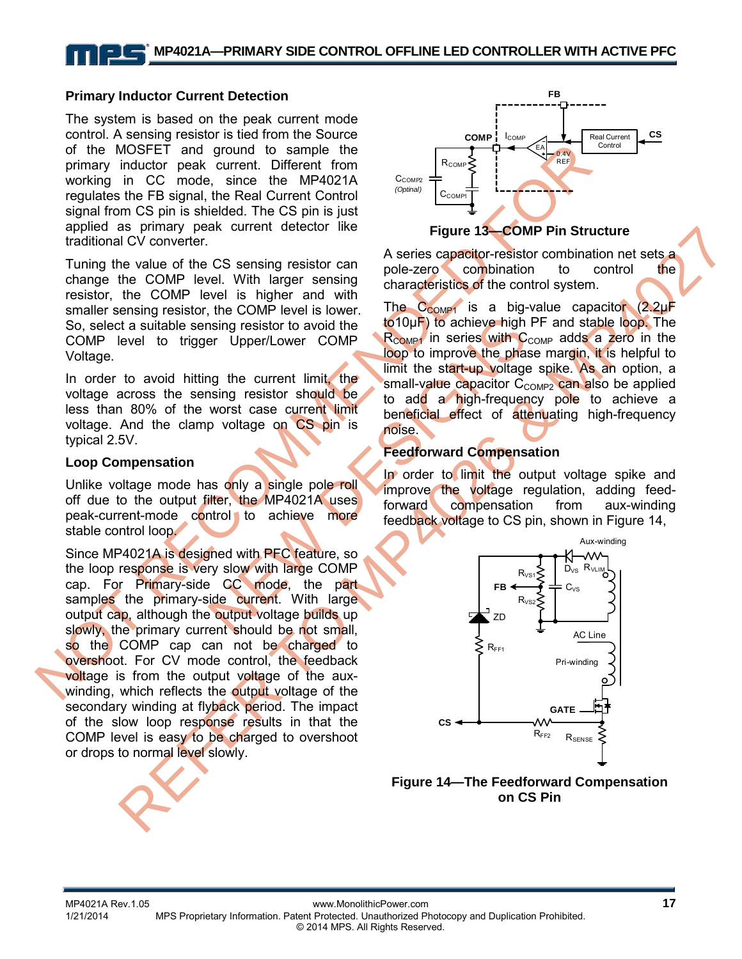#### **Primary Inductor Current Detection**

The system is based on the peak current mode control. A sensing resistor is tied from the Source of the MOSFET and ground to sample the primary inductor peak current. Different from working in CC mode, since the MP4021A regulates the FB signal, the Real Current Control signal from CS pin is shielded. The CS pin is just applied as primary peak current detector like traditional CV converter.

Tuning the value of the CS sensing resistor can change the COMP level. With larger sensing resistor, the COMP level is higher and with smaller sensing resistor, the COMP level is lower. So, select a suitable sensing resistor to avoid the COMP level to trigger Upper/Lower COMP Voltage.

In order to avoid hitting the current limit, the voltage across the sensing resistor should be less than 80% of the worst case current limit voltage. And the clamp voltage on CS pin is typical 2.5V.

#### **Loop Compensation**

Unlike voltage mode has only a single pole roll off due to the output filter, the MP4021A uses peak-current-mode control to achieve more stable control loop.

of the MOSFET and ground to sample the Computer and ground to sample the principle in C. mode, since the MAP421A users capacitor resistant and the mode, since the MOSFET and the MOSFET and the COMP is a big value of the C So unitary text that the control into the control into the section of the control into the control into the control into the control into the control into the control into the control into the control into the control int Since MP4021A is designed with PFC feature, so the loop response is very slow with large COMP cap. For Primary-side CC mode, the part samples the primary-side current. With large output cap, although the output voltage builds up slowly, the primary current should be not small, so the COMP cap can not be charged to overshoot. For CV mode control, the feedback voltage is from the output voltage of the auxwinding, which reflects the output voltage of the secondary winding at flyback period. The impact of the slow loop response results in that the COMP level is easy to be charged to overshoot or drops to normal level slowly.



#### **Figure 13—COMP Pin Structure**

A series capacitor-resistor combination net sets a pole-zero combination to control the characteristics of the control system.

Sing resistor to avoid the to 10µF) to achieve high<br>
ner Upper/Lower COMP Roomer in series with C<br>
ner Upper/Lower COMP Roomer in series with C<br>
ner Upper/Lower COMP Roomer in series with C<br>
small-value capacitor C<sub>c</sub><br>
sma The  $C_{COMP1}$  is a big-value capacitor (2.2µF to10µF) to achieve high PF and stable loop. The  $R_{COMP1}$  in series with  $C_{COMP}$  adds a zero in the loop to improve the phase margin, it is helpful to limit the start-up voltage spike. As an option, a small-value capacitor  $C_{COMP2}$  can also be applied to add a high-frequency pole to achieve a beneficial effect of attenuating high-frequency noise.

#### **Feedforward Compensation**

In order to limit the output voltage spike and improve the voltage regulation, adding feedforward compensation from aux-winding feedback voltage to CS pin, shown in Figure 14,



**Figure 14—The Feedforward Compensation on CS Pin**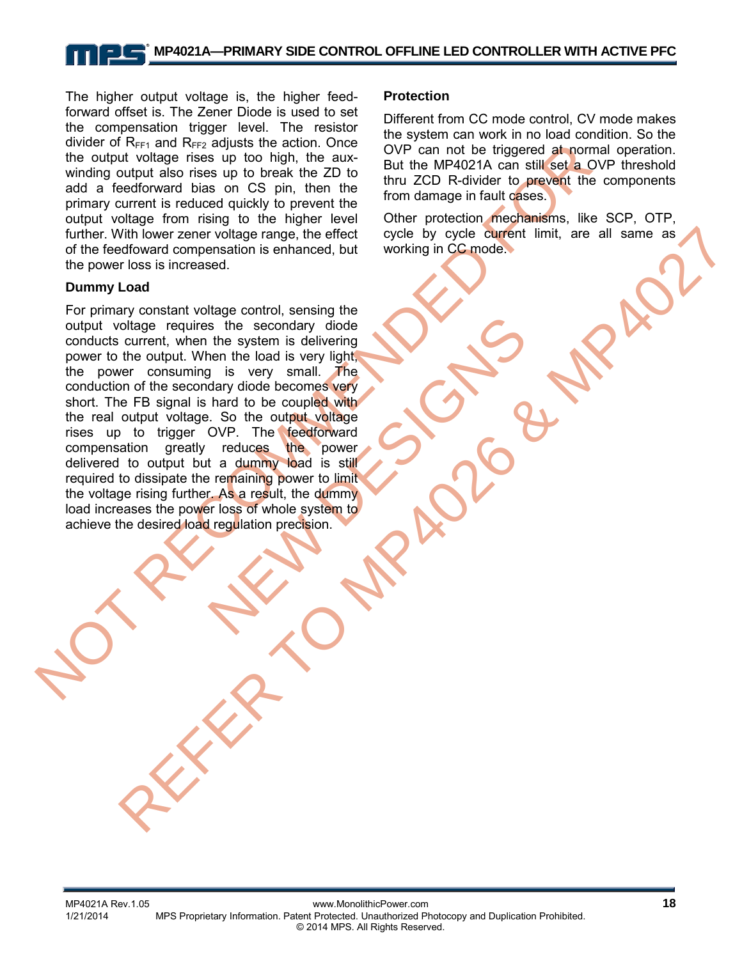### **MP4021A—PRIMARY SIDE CONTROL OFFLINE LED CONTROLLER WITH ACTIVE PFC**

The higher output voltage is, the higher feedforward offset is. The Zener Diode is used to set the compensation trigger level. The resistor divider of  $R_{FF1}$  and  $R_{FF2}$  adjusts the action. Once the output voltage rises up too high, the auxwinding output also rises up to break the ZD to add a feedforward bias on CS pin, then the primary current is reduced quickly to prevent the output voltage from rising to the higher level further. With lower zener voltage range, the effect of the feedfoward compensation is enhanced, but the power loss is increased.

#### **Dummy Load**

and the distributed as the same of the model of the diggered at home of the diggered and a feedbroward bias on CS pin, then the through CD R-divider to prevent the model winding output also measure to break the 2D to the m we she secondary diode<br>the system is delivering<br>then the load is very light,<br>g is very small. The<br>dary diode becomes very<br>radices the coupled with<br>.. So the output voltage<br>over. The feedforward<br>radium who is still<br>remainin Whi lower zear-voltage control, ensign the effect over the figure of the control of the control of the control of the control of the signal is the metal who control of the control of the control of the control of the contr For primary constant voltage control, sensing the output voltage requires the secondary diode conducts current, when the system is delivering power to the output. When the load is very light, the power consuming is very small. The conduction of the secondary diode becomes very short. The FB signal is hard to be coupled with the real output voltage. So the output voltage rises up to trigger OVP. The feedforward<br>compensation greatly reduces the power compensation greatly reduces delivered to output but a dummy load is still required to dissipate the remaining power to limit the voltage rising further. As a result, the dummy load increases the power loss of whole system to achieve the desired load regulation precision.

#### **Protection**

Different from CC mode control, CV mode makes the system can work in no load condition. So the OVP can not be triggered at normal operation. But the MP4021A can still set a OVP threshold thru ZCD R-divider to prevent the components from damage in fault cases.

Other protection mechanisms, like SCP, OTP, cycle by cycle current limit, are all same as working in CC mode.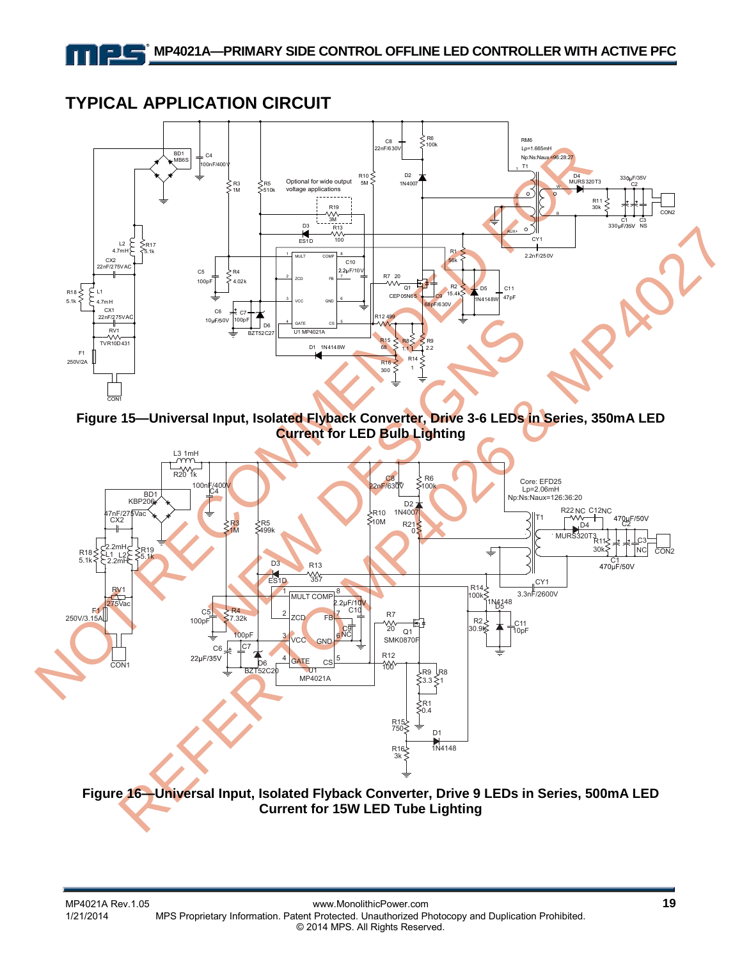### **TYPICAL APPLICATION CIRCUIT**



**Figure 15—Universal Input, Isolated Flyback Converter, Drive 3-6 LEDs in Series, 350mA LED Current for LED Bulb Lighting**



**Figure 16—Universal Input, Isolated Flyback Converter, Drive 9 LEDs in Series, 500mA LED Current for 15W LED Tube Lighting**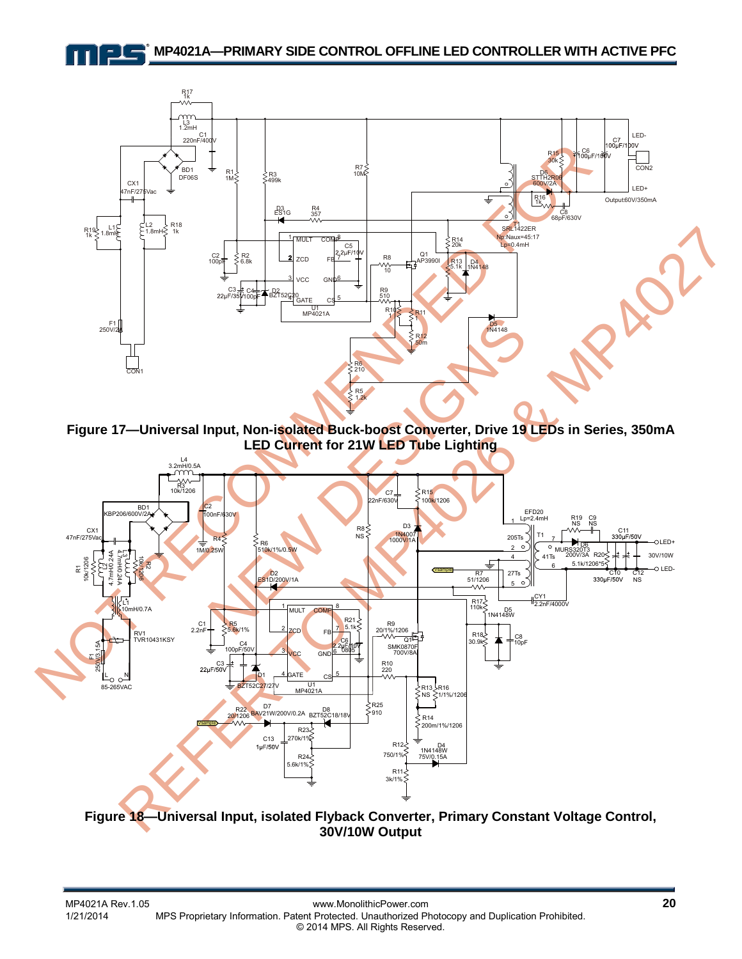#### **MP4021A—PRIMARY SIDE CONTROL OFFLINE LED CONTROLLER WITH ACTIVE PFC**



**Figure 17—Universal Input, Non-isolated Buck-boost Converter, Drive 19 LEDs in Series, 350mA LED Current for 21W LED Tube Lighting** 



**30V/10W Output**